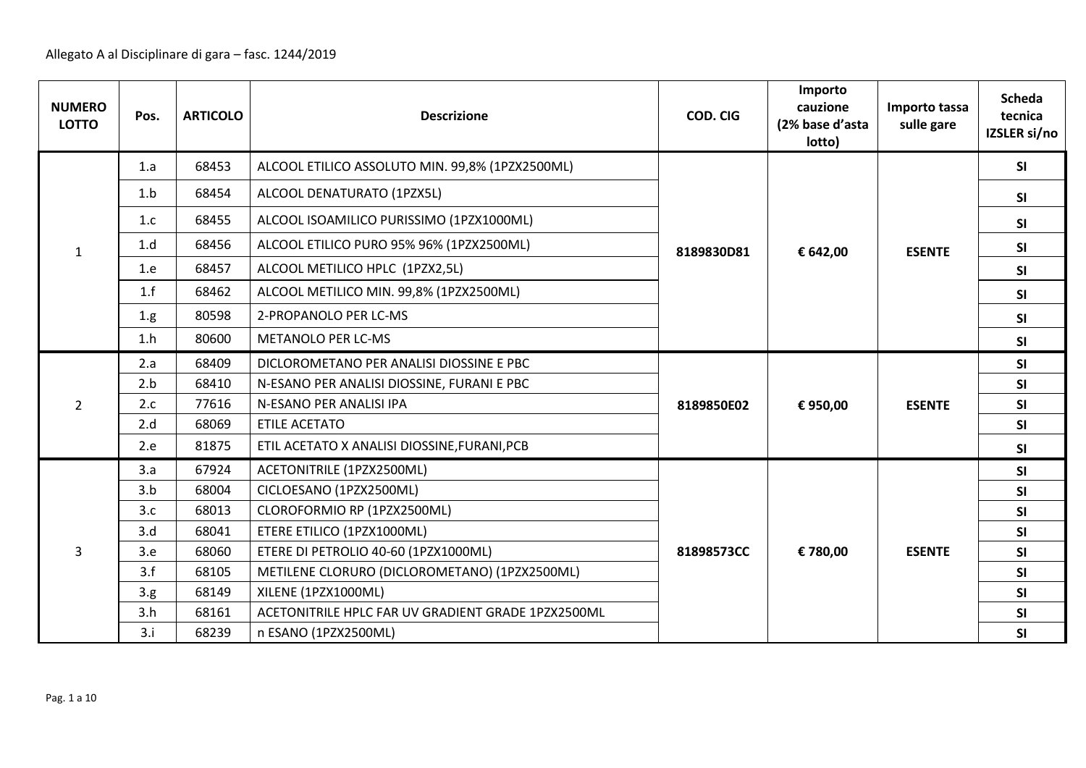| <b>NUMERO</b><br><b>LOTTO</b> | Pos. | <b>ARTICOLO</b> | <b>Descrizione</b>                                 | COD. CIG   | Importo<br>cauzione<br>(2% base d'asta<br>lotto) | Importo tassa<br>sulle gare | <b>Scheda</b><br>tecnica<br>IZSLER si/no |
|-------------------------------|------|-----------------|----------------------------------------------------|------------|--------------------------------------------------|-----------------------------|------------------------------------------|
|                               | 1.a  | 68453           | ALCOOL ETILICO ASSOLUTO MIN. 99,8% (1PZX2500ML)    |            |                                                  |                             | SI                                       |
|                               | 1.b  | 68454           | ALCOOL DENATURATO (1PZX5L)                         |            |                                                  |                             | SI                                       |
|                               | 1.c  | 68455           | ALCOOL ISOAMILICO PURISSIMO (1PZX1000ML)           |            |                                                  |                             | <b>SI</b>                                |
| $\mathbf{1}$                  | 1.d  | 68456           | ALCOOL ETILICO PURO 95% 96% (1PZX2500ML)           | 8189830D81 | € 642,00                                         | <b>ESENTE</b>               | <b>SI</b>                                |
|                               | 1.e  | 68457           | ALCOOL METILICO HPLC (1PZX2,5L)                    |            |                                                  |                             | SI                                       |
|                               | 1.f  | 68462           | ALCOOL METILICO MIN. 99,8% (1PZX2500ML)            |            |                                                  |                             | SI                                       |
|                               | 1.g. | 80598           | 2-PROPANOLO PER LC-MS                              |            |                                                  |                             | SI                                       |
|                               | 1.h  | 80600           | <b>METANOLO PER LC-MS</b>                          |            |                                                  |                             | <b>SI</b>                                |
|                               | 2.a  | 68409           | DICLOROMETANO PER ANALISI DIOSSINE E PBC           |            |                                                  |                             | <b>SI</b>                                |
|                               | 2.b  | 68410           | N-ESANO PER ANALISI DIOSSINE, FURANI E PBC         |            |                                                  |                             | SI                                       |
| $\overline{2}$                | 2.c  | 77616           | N-ESANO PER ANALISI IPA                            | 8189850E02 | € 950,00                                         | <b>ESENTE</b>               | SI                                       |
|                               | 2.d  | 68069           | <b>ETILE ACETATO</b>                               |            |                                                  |                             | SI                                       |
|                               | 2.e  | 81875           | ETIL ACETATO X ANALISI DIOSSINE, FURANI, PCB       |            |                                                  |                             | <b>SI</b>                                |
|                               | 3.a  | 67924           | ACETONITRILE (1PZX2500ML)                          |            |                                                  |                             | SI                                       |
|                               | 3.b  | 68004           | CICLOESANO (1PZX2500ML)                            |            |                                                  |                             | SI                                       |
|                               | 3.c  | 68013           | CLOROFORMIO RP (1PZX2500ML)                        |            |                                                  |                             | SI                                       |
|                               | 3.d  | 68041           | ETERE ETILICO (1PZX1000ML)                         |            |                                                  |                             | <b>SI</b>                                |
| $\overline{3}$                | 3.e  | 68060           | ETERE DI PETROLIO 40-60 (1PZX1000ML)               | 81898573CC | € 780,00                                         | <b>ESENTE</b>               | SI                                       |
|                               | 3.f  | 68105           | METILENE CLORURO (DICLOROMETANO) (1PZX2500ML)      |            |                                                  |                             | SI                                       |
|                               | 3.g. | 68149           | XILENE (1PZX1000ML)                                |            |                                                  |                             | <b>SI</b>                                |
|                               | 3.h  | 68161           | ACETONITRILE HPLC FAR UV GRADIENT GRADE 1PZX2500ML |            |                                                  |                             | SI                                       |
|                               | 3.i  | 68239           | n ESANO (1PZX2500ML)                               |            |                                                  |                             | SI                                       |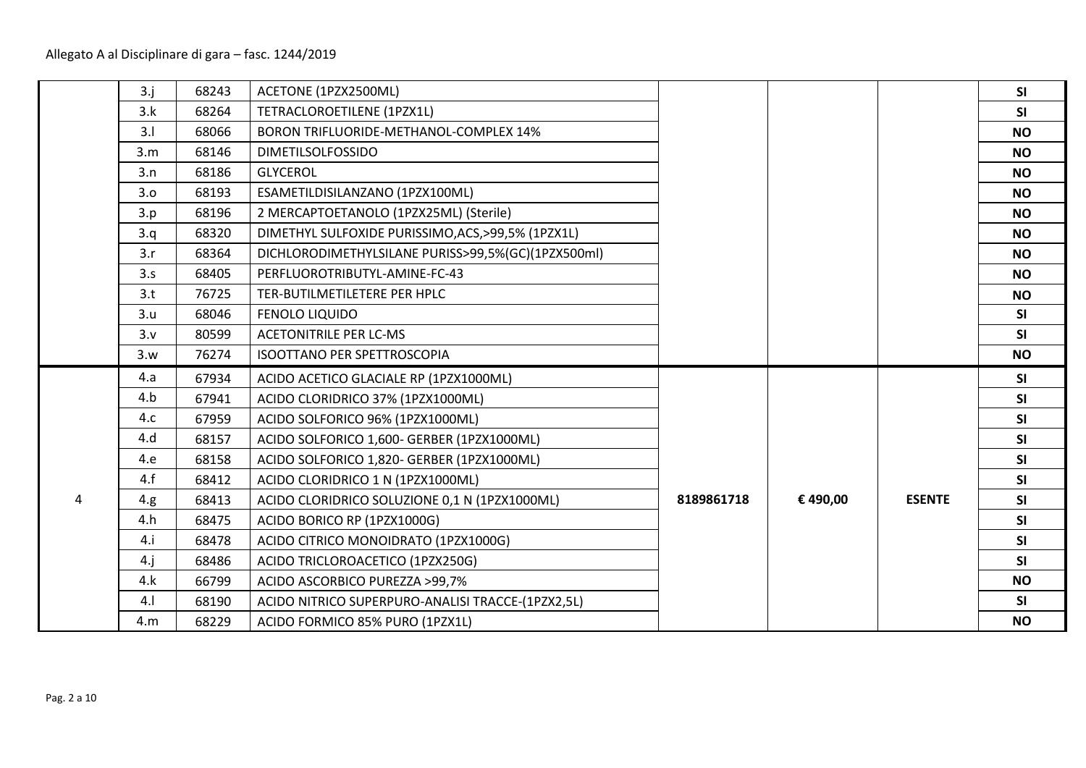|   | 3.j    | 68243 | ACETONE (1PZX2500ML)                               |            |          |               | SI        |
|---|--------|-------|----------------------------------------------------|------------|----------|---------------|-----------|
|   | 3.k    | 68264 | TETRACLOROETILENE (1PZX1L)                         |            |          |               | SI        |
|   | 3.1    | 68066 | BORON TRIFLUORIDE-METHANOL-COMPLEX 14%             |            |          |               | <b>NO</b> |
|   | 3.m    | 68146 | <b>DIMETILSOLFOSSIDO</b>                           |            |          |               | <b>NO</b> |
|   | 3.n    | 68186 | <b>GLYCEROL</b>                                    |            |          |               | <b>NO</b> |
|   | 3.0    | 68193 | ESAMETILDISILANZANO (1PZX100ML)                    |            |          |               | <b>NO</b> |
|   | 3.p    | 68196 | 2 MERCAPTOETANOLO (1PZX25ML) (Sterile)             |            |          |               | <b>NO</b> |
|   | 3.q    | 68320 | DIMETHYL SULFOXIDE PURISSIMO, ACS, >99,5% (1PZX1L) |            |          |               | <b>NO</b> |
|   | 3.r    | 68364 | DICHLORODIMETHYLSILANE PURISS>99,5%(GC)(1PZX500ml) |            |          |               | <b>NO</b> |
|   | 3.5    | 68405 | PERFLUOROTRIBUTYL-AMINE-FC-43                      |            |          |               | <b>NO</b> |
|   | 3.t    | 76725 | TER-BUTILMETILETERE PER HPLC                       |            |          |               | <b>NO</b> |
|   | 3.u    | 68046 | <b>FENOLO LIQUIDO</b>                              |            |          |               | <b>SI</b> |
|   | 3.v    | 80599 | <b>ACETONITRILE PER LC-MS</b>                      |            |          |               | SI        |
|   | 3.w    | 76274 | <b>ISOOTTANO PER SPETTROSCOPIA</b>                 |            |          |               | <b>NO</b> |
|   | 4.a    | 67934 | ACIDO ACETICO GLACIALE RP (1PZX1000ML)             |            |          |               | <b>SI</b> |
|   | 4.b    | 67941 | ACIDO CLORIDRICO 37% (1PZX1000ML)                  |            |          |               | <b>SI</b> |
|   | 4.c    | 67959 | ACIDO SOLFORICO 96% (1PZX1000ML)                   |            |          |               | SI        |
|   | 4.d    | 68157 | ACIDO SOLFORICO 1,600- GERBER (1PZX1000ML)         |            |          |               | SI        |
|   | 4.e    | 68158 | ACIDO SOLFORICO 1,820- GERBER (1PZX1000ML)         |            |          |               | SI        |
|   | 4.f    | 68412 | ACIDO CLORIDRICO 1 N (1PZX1000ML)                  |            |          |               | <b>SI</b> |
| 4 | 4.g.   | 68413 | ACIDO CLORIDRICO SOLUZIONE 0,1 N (1PZX1000ML)      | 8189861718 | € 490,00 | <b>ESENTE</b> | SI        |
|   | 4.h    | 68475 | ACIDO BORICO RP (1PZX1000G)                        |            |          |               | SI        |
|   | 4.i    | 68478 | ACIDO CITRICO MONOIDRATO (1PZX1000G)               |            |          |               | SI        |
|   | $4.$ j | 68486 | ACIDO TRICLOROACETICO (1PZX250G)                   |            |          |               | SI        |
|   | 4.k    | 66799 | ACIDO ASCORBICO PUREZZA >99,7%                     |            |          |               | <b>NO</b> |
|   | 4.1    | 68190 | ACIDO NITRICO SUPERPURO-ANALISI TRACCE-(1PZX2,5L)  |            |          |               | <b>SI</b> |
|   | 4.m    | 68229 | ACIDO FORMICO 85% PURO (1PZX1L)                    |            |          |               | <b>NO</b> |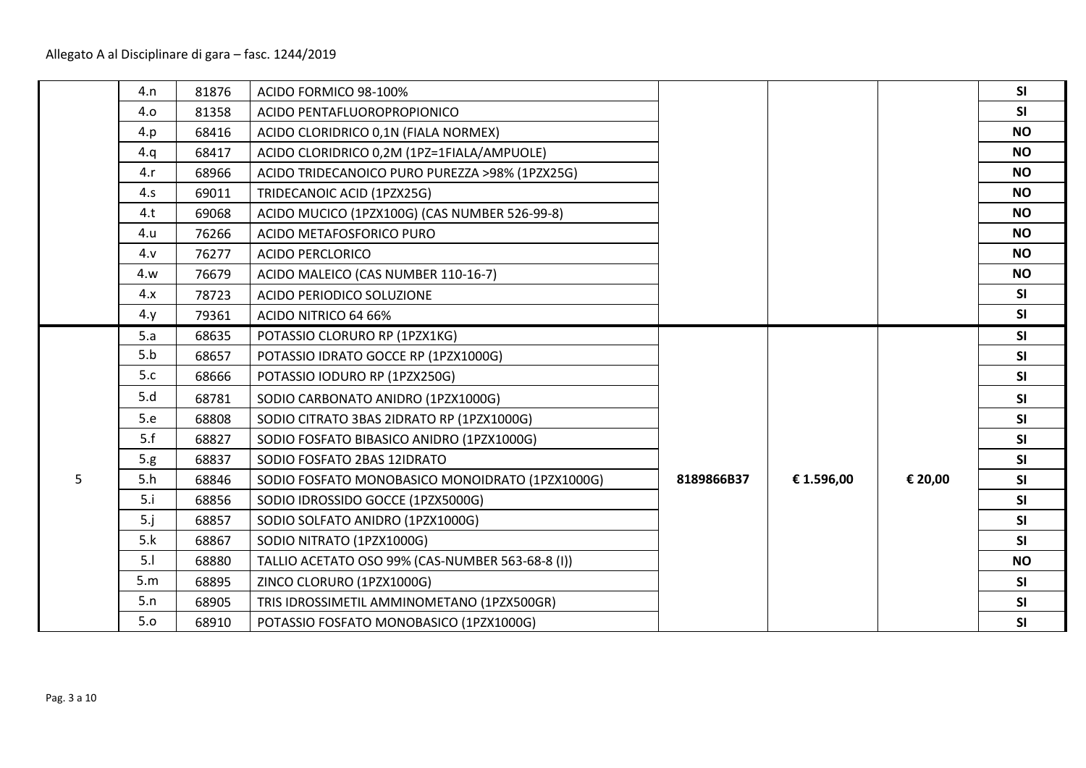|   | 4.n   | 81876 | ACIDO FORMICO 98-100%                            |            |            |         | SI        |
|---|-------|-------|--------------------------------------------------|------------|------------|---------|-----------|
|   | 4.0   | 81358 | ACIDO PENTAFLUOROPROPIONICO                      |            |            |         | <b>SI</b> |
|   | 4.p   | 68416 | ACIDO CLORIDRICO 0,1N (FIALA NORMEX)             |            |            |         | <b>NO</b> |
|   | 4.q   | 68417 | ACIDO CLORIDRICO 0,2M (1PZ=1FIALA/AMPUOLE)       |            |            |         | <b>NO</b> |
|   | 4.r   | 68966 | ACIDO TRIDECANOICO PURO PUREZZA >98% (1PZX25G)   |            |            |         | <b>NO</b> |
|   | 4.5   | 69011 | TRIDECANOIC ACID (1PZX25G)                       |            |            |         | <b>NO</b> |
|   | 4.t   | 69068 | ACIDO MUCICO (1PZX100G) (CAS NUMBER 526-99-8)    |            |            |         | <b>NO</b> |
|   | 4.u   | 76266 | ACIDO METAFOSFORICO PURO                         |            |            |         | <b>NO</b> |
|   | 4.9   | 76277 | <b>ACIDO PERCLORICO</b>                          |            |            |         | <b>NO</b> |
|   | 4.w   | 76679 | ACIDO MALEICO (CAS NUMBER 110-16-7)              |            |            |         | <b>NO</b> |
|   | 4.x   | 78723 | ACIDO PERIODICO SOLUZIONE                        |            |            |         | SI        |
|   | 4.    | 79361 | ACIDO NITRICO 64 66%                             |            |            |         | SI        |
|   | 5.a   | 68635 | POTASSIO CLORURO RP (1PZX1KG)                    |            |            |         | SI        |
|   | 5.b   | 68657 | POTASSIO IDRATO GOCCE RP (1PZX1000G)             |            |            |         | SI        |
|   | 5.c   | 68666 | POTASSIO IODURO RP (1PZX250G)                    |            |            |         | SI        |
|   | 5.d   | 68781 | SODIO CARBONATO ANIDRO (1PZX1000G)               |            |            |         | SI        |
|   | 5.e   | 68808 | SODIO CITRATO 3BAS 2IDRATO RP (1PZX1000G)        |            |            |         | SI        |
|   | 5.f   | 68827 | SODIO FOSFATO BIBASICO ANIDRO (1PZX1000G)        |            |            |         | SI        |
|   | 5.g.  | 68837 | SODIO FOSFATO 2BAS 12IDRATO                      |            |            |         | SI        |
| 5 | 5.h   | 68846 | SODIO FOSFATO MONOBASICO MONOIDRATO (1PZX1000G)  | 8189866B37 | € 1.596,00 | € 20,00 | SI        |
|   | 5.i   | 68856 | SODIO IDROSSIDO GOCCE (1PZX5000G)                |            |            |         | SI        |
|   | $5-j$ | 68857 | SODIO SOLFATO ANIDRO (1PZX1000G)                 |            |            |         | SI        |
|   | 5.k   | 68867 | SODIO NITRATO (1PZX1000G)                        |            |            |         | SI        |
|   | 5.1   | 68880 | TALLIO ACETATO OSO 99% (CAS-NUMBER 563-68-8 (I)) |            |            |         | <b>NO</b> |
|   | 5.m   | 68895 | ZINCO CLORURO (1PZX1000G)                        |            |            |         | SI        |
|   | 5.n   | 68905 | TRIS IDROSSIMETIL AMMINOMETANO (1PZX500GR)       |            |            |         | SI        |
|   | 5.0   | 68910 | POTASSIO FOSFATO MONOBASICO (1PZX1000G)          |            |            |         | SI        |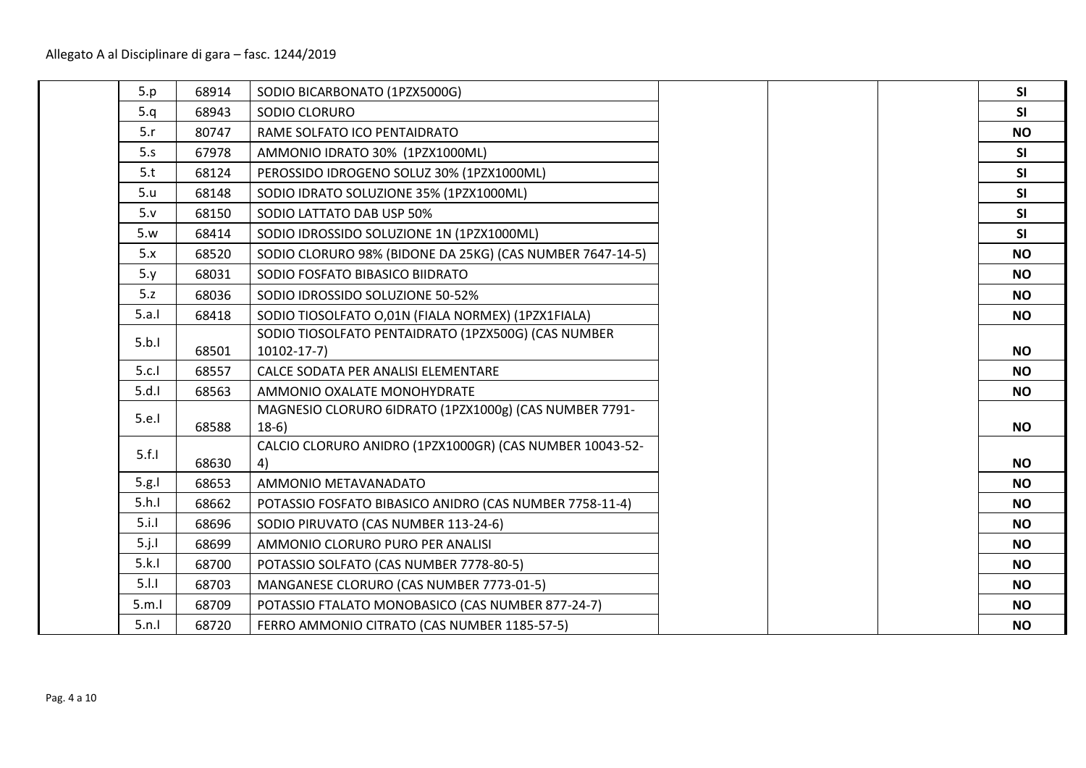| 68914<br>SODIO BICARBONATO (1PZX5000G)<br>68943<br>SODIO CLORURO<br>80747<br>RAME SOLFATO ICO PENTAIDRATO<br>67978<br>AMMONIO IDRATO 30% (1PZX1000ML)<br>68124<br>PEROSSIDO IDROGENO SOLUZ 30% (1PZX1000ML)<br>SODIO IDRATO SOLUZIONE 35% (1PZX1000ML)<br>68148<br>SODIO LATTATO DAB USP 50%<br>68150<br>68414<br>SODIO IDROSSIDO SOLUZIONE 1N (1PZX1000ML)<br>68520<br>SODIO CLORURO 98% (BIDONE DA 25KG) (CAS NUMBER 7647-14-5)<br>SODIO FOSFATO BIBASICO BIIDRATO<br>68031<br>68036<br>SODIO IDROSSIDO SOLUZIONE 50-52%<br>68418<br>SODIO TIOSOLFATO O,01N (FIALA NORMEX) (1PZX1FIALA)<br>SODIO TIOSOLFATO PENTAIDRATO (1PZX500G) (CAS NUMBER<br>68501<br>$10102 - 17 - 7$<br>CALCE SODATA PER ANALISI ELEMENTARE<br>68557<br>AMMONIO OXALATE MONOHYDRATE<br>68563<br>MAGNESIO CLORURO 6IDRATO (1PZX1000g) (CAS NUMBER 7791-<br>$18-6$<br>68588<br>CALCIO CLORURO ANIDRO (1PZX1000GR) (CAS NUMBER 10043-52-<br>68630<br>4)<br>AMMONIO METAVANADATO<br>68653<br>68662<br>POTASSIO FOSFATO BIBASICO ANIDRO (CAS NUMBER 7758-11-4)<br>SODIO PIRUVATO (CAS NUMBER 113-24-6)<br>68696<br>68699<br>AMMONIO CLORURO PURO PER ANALISI<br>68700<br>POTASSIO SOLFATO (CAS NUMBER 7778-80-5)<br>68703<br>MANGANESE CLORURO (CAS NUMBER 7773-01-5)<br>68709<br>POTASSIO FTALATO MONOBASICO (CAS NUMBER 877-24-7) |          |       |                                              |  |
|---------------------------------------------------------------------------------------------------------------------------------------------------------------------------------------------------------------------------------------------------------------------------------------------------------------------------------------------------------------------------------------------------------------------------------------------------------------------------------------------------------------------------------------------------------------------------------------------------------------------------------------------------------------------------------------------------------------------------------------------------------------------------------------------------------------------------------------------------------------------------------------------------------------------------------------------------------------------------------------------------------------------------------------------------------------------------------------------------------------------------------------------------------------------------------------------------------------------------------------------------------------------------------------------------------|----------|-------|----------------------------------------------|--|
|                                                                                                                                                                                                                                                                                                                                                                                                                                                                                                                                                                                                                                                                                                                                                                                                                                                                                                                                                                                                                                                                                                                                                                                                                                                                                                         | 5.p      |       |                                              |  |
|                                                                                                                                                                                                                                                                                                                                                                                                                                                                                                                                                                                                                                                                                                                                                                                                                                                                                                                                                                                                                                                                                                                                                                                                                                                                                                         | 5.q      |       |                                              |  |
|                                                                                                                                                                                                                                                                                                                                                                                                                                                                                                                                                                                                                                                                                                                                                                                                                                                                                                                                                                                                                                                                                                                                                                                                                                                                                                         | 5.r      |       |                                              |  |
|                                                                                                                                                                                                                                                                                                                                                                                                                                                                                                                                                                                                                                                                                                                                                                                                                                                                                                                                                                                                                                                                                                                                                                                                                                                                                                         | 5.5      |       |                                              |  |
|                                                                                                                                                                                                                                                                                                                                                                                                                                                                                                                                                                                                                                                                                                                                                                                                                                                                                                                                                                                                                                                                                                                                                                                                                                                                                                         | 5.t      |       |                                              |  |
|                                                                                                                                                                                                                                                                                                                                                                                                                                                                                                                                                                                                                                                                                                                                                                                                                                                                                                                                                                                                                                                                                                                                                                                                                                                                                                         | 5.u      |       |                                              |  |
|                                                                                                                                                                                                                                                                                                                                                                                                                                                                                                                                                                                                                                                                                                                                                                                                                                                                                                                                                                                                                                                                                                                                                                                                                                                                                                         | 5. v     |       |                                              |  |
|                                                                                                                                                                                                                                                                                                                                                                                                                                                                                                                                                                                                                                                                                                                                                                                                                                                                                                                                                                                                                                                                                                                                                                                                                                                                                                         | 5.w      |       |                                              |  |
|                                                                                                                                                                                                                                                                                                                                                                                                                                                                                                                                                                                                                                                                                                                                                                                                                                                                                                                                                                                                                                                                                                                                                                                                                                                                                                         | 5.x      |       |                                              |  |
|                                                                                                                                                                                                                                                                                                                                                                                                                                                                                                                                                                                                                                                                                                                                                                                                                                                                                                                                                                                                                                                                                                                                                                                                                                                                                                         | 5. y     |       |                                              |  |
|                                                                                                                                                                                                                                                                                                                                                                                                                                                                                                                                                                                                                                                                                                                                                                                                                                                                                                                                                                                                                                                                                                                                                                                                                                                                                                         | 5.z      |       |                                              |  |
|                                                                                                                                                                                                                                                                                                                                                                                                                                                                                                                                                                                                                                                                                                                                                                                                                                                                                                                                                                                                                                                                                                                                                                                                                                                                                                         | 5.a.1    |       |                                              |  |
|                                                                                                                                                                                                                                                                                                                                                                                                                                                                                                                                                                                                                                                                                                                                                                                                                                                                                                                                                                                                                                                                                                                                                                                                                                                                                                         | 5.b.1    |       |                                              |  |
|                                                                                                                                                                                                                                                                                                                                                                                                                                                                                                                                                                                                                                                                                                                                                                                                                                                                                                                                                                                                                                                                                                                                                                                                                                                                                                         | 5.c.1    |       |                                              |  |
|                                                                                                                                                                                                                                                                                                                                                                                                                                                                                                                                                                                                                                                                                                                                                                                                                                                                                                                                                                                                                                                                                                                                                                                                                                                                                                         | 5.d.1    |       |                                              |  |
|                                                                                                                                                                                                                                                                                                                                                                                                                                                                                                                                                                                                                                                                                                                                                                                                                                                                                                                                                                                                                                                                                                                                                                                                                                                                                                         | 5.e.1    |       |                                              |  |
|                                                                                                                                                                                                                                                                                                                                                                                                                                                                                                                                                                                                                                                                                                                                                                                                                                                                                                                                                                                                                                                                                                                                                                                                                                                                                                         | 5.f.1    |       |                                              |  |
|                                                                                                                                                                                                                                                                                                                                                                                                                                                                                                                                                                                                                                                                                                                                                                                                                                                                                                                                                                                                                                                                                                                                                                                                                                                                                                         | 5.g.1    |       |                                              |  |
|                                                                                                                                                                                                                                                                                                                                                                                                                                                                                                                                                                                                                                                                                                                                                                                                                                                                                                                                                                                                                                                                                                                                                                                                                                                                                                         | 5.h.1    |       |                                              |  |
|                                                                                                                                                                                                                                                                                                                                                                                                                                                                                                                                                                                                                                                                                                                                                                                                                                                                                                                                                                                                                                                                                                                                                                                                                                                                                                         | 5.i.1    |       |                                              |  |
|                                                                                                                                                                                                                                                                                                                                                                                                                                                                                                                                                                                                                                                                                                                                                                                                                                                                                                                                                                                                                                                                                                                                                                                                                                                                                                         | $5.$ j.l |       |                                              |  |
|                                                                                                                                                                                                                                                                                                                                                                                                                                                                                                                                                                                                                                                                                                                                                                                                                                                                                                                                                                                                                                                                                                                                                                                                                                                                                                         | 5.k.1    |       |                                              |  |
|                                                                                                                                                                                                                                                                                                                                                                                                                                                                                                                                                                                                                                                                                                                                                                                                                                                                                                                                                                                                                                                                                                                                                                                                                                                                                                         | 5.1.1    |       |                                              |  |
|                                                                                                                                                                                                                                                                                                                                                                                                                                                                                                                                                                                                                                                                                                                                                                                                                                                                                                                                                                                                                                                                                                                                                                                                                                                                                                         | 5.m.l    |       |                                              |  |
|                                                                                                                                                                                                                                                                                                                                                                                                                                                                                                                                                                                                                                                                                                                                                                                                                                                                                                                                                                                                                                                                                                                                                                                                                                                                                                         | 5.n.1    | 68720 | FERRO AMMONIO CITRATO (CAS NUMBER 1185-57-5) |  |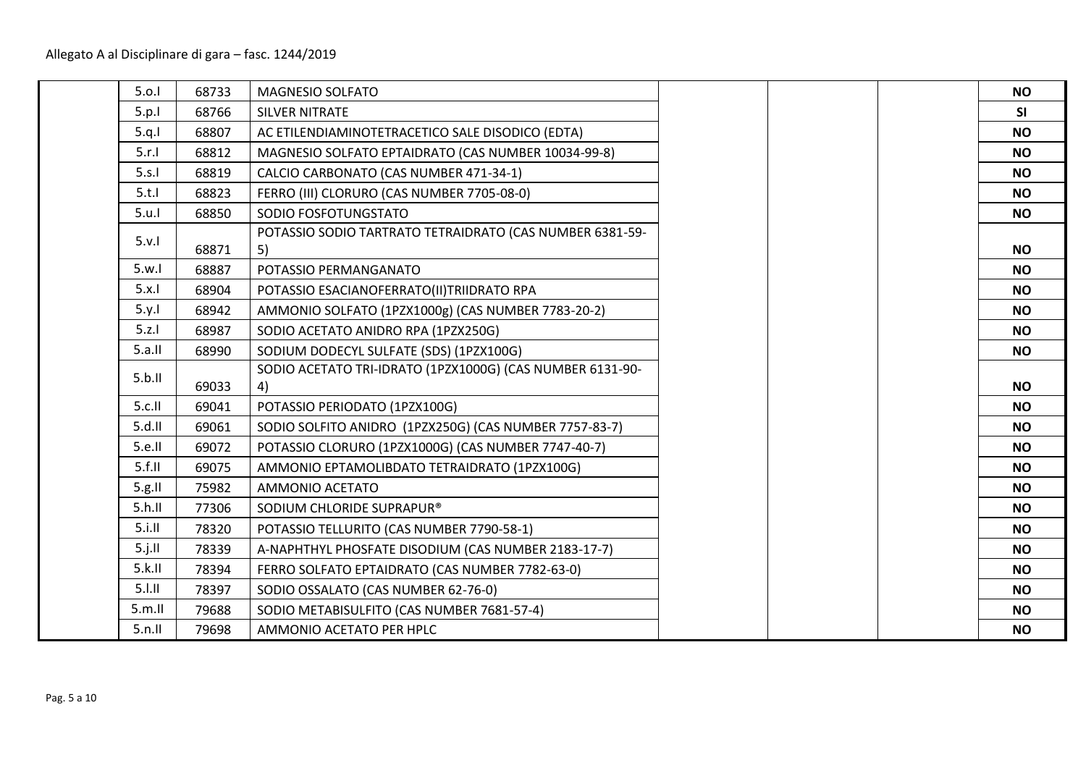| 5.0.1  | 68733 | MAGNESIO SOLFATO                                                |  |
|--------|-------|-----------------------------------------------------------------|--|
| 5.p.1  | 68766 | <b>SILVER NITRATE</b>                                           |  |
| 5.q.1  | 68807 | AC ETILENDIAMINOTETRACETICO SALE DISODICO (EDTA)                |  |
| 5.r.1  | 68812 | MAGNESIO SOLFATO EPTAIDRATO (CAS NUMBER 10034-99-8)             |  |
| 5.s.1  | 68819 | CALCIO CARBONATO (CAS NUMBER 471-34-1)                          |  |
| 5.t.1  | 68823 | FERRO (III) CLORURO (CAS NUMBER 7705-08-0)                      |  |
| 5.u.1  | 68850 | SODIO FOSFOTUNGSTATO                                            |  |
| 5.v.1  | 68871 | POTASSIO SODIO TARTRATO TETRAIDRATO (CAS NUMBER 6381-59-<br>5)  |  |
| 5.w.1  | 68887 | POTASSIO PERMANGANATO                                           |  |
| 5.x.1  | 68904 | POTASSIO ESACIANOFERRATO(II)TRIIDRATO RPA                       |  |
| 5.y.1  | 68942 | AMMONIO SOLFATO (1PZX1000g) (CAS NUMBER 7783-20-2)              |  |
| 5.z.1  | 68987 | SODIO ACETATO ANIDRO RPA (1PZX250G)                             |  |
| 5.a.II | 68990 | SODIUM DODECYL SULFATE (SDS) (1PZX100G)                         |  |
| 5.b.II | 69033 | SODIO ACETATO TRI-IDRATO (1PZX1000G) (CAS NUMBER 6131-90-<br>4) |  |
| 5.c.II | 69041 | POTASSIO PERIODATO (1PZX100G)                                   |  |
| 5.d.II | 69061 | SODIO SOLFITO ANIDRO (1PZX250G) (CAS NUMBER 7757-83-7)          |  |
| 5.e.ll | 69072 | POTASSIO CLORURO (1PZX1000G) (CAS NUMBER 7747-40-7)             |  |
| 5.f.II | 69075 | AMMONIO EPTAMOLIBDATO TETRAIDRATO (1PZX100G)                    |  |
| 5.g.   | 75982 | AMMONIO ACETATO                                                 |  |
| 5.h.II | 77306 | SODIUM CHLORIDE SUPRAPUR®                                       |  |
| 5.i.II | 78320 | POTASSIO TELLURITO (CAS NUMBER 7790-58-1)                       |  |
| 5.j.II | 78339 | A-NAPHTHYL PHOSFATE DISODIUM (CAS NUMBER 2183-17-7)             |  |
| 5.k.II | 78394 | FERRO SOLFATO EPTAIDRATO (CAS NUMBER 7782-63-0)                 |  |
| 5.1.11 | 78397 | SODIO OSSALATO (CAS NUMBER 62-76-0)                             |  |
| 5.m.II | 79688 | SODIO METABISULFITO (CAS NUMBER 7681-57-4)                      |  |
| 5.n.II | 79698 | AMMONIO ACETATO PER HPLC                                        |  |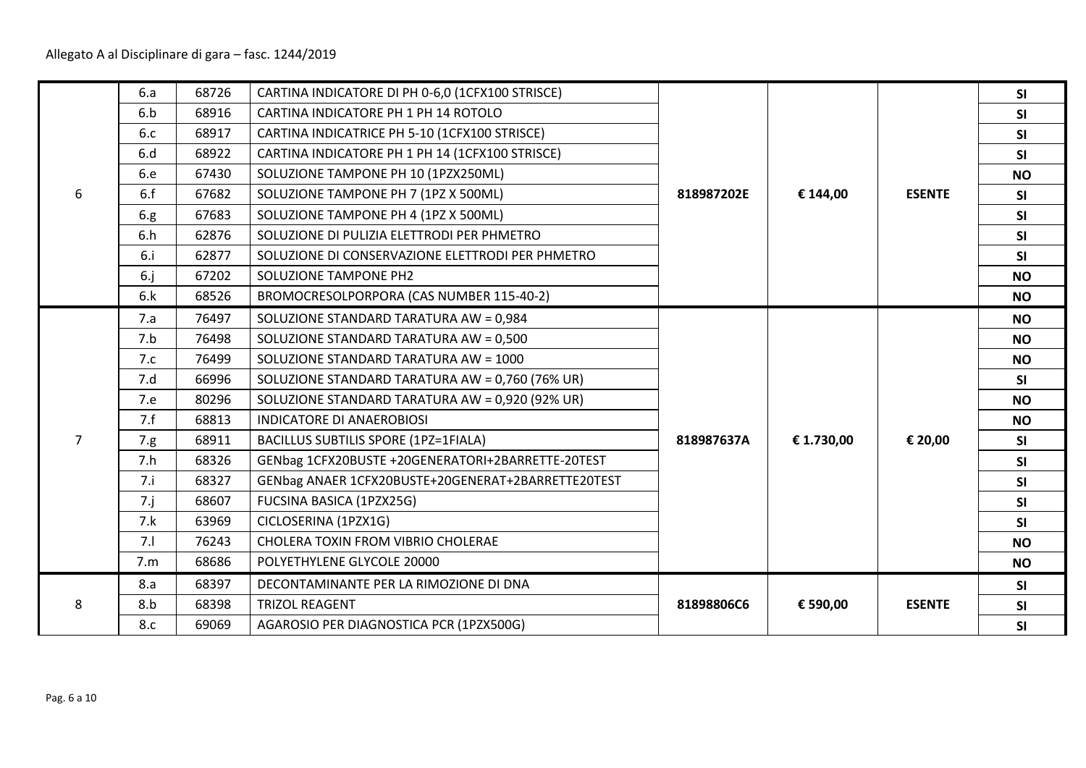|   | 6.a         | 68726 | CARTINA INDICATORE DI PH 0-6,0 (1CFX100 STRISCE)   |            |            |               | <b>SI</b> |
|---|-------------|-------|----------------------------------------------------|------------|------------|---------------|-----------|
|   | 6.b         | 68916 | CARTINA INDICATORE PH 1 PH 14 ROTOLO               |            |            |               | SI        |
|   | 6.c         | 68917 | CARTINA INDICATRICE PH 5-10 (1CFX100 STRISCE)      |            |            |               | SI        |
|   | 6.d         | 68922 | CARTINA INDICATORE PH 1 PH 14 (1CFX100 STRISCE)    |            |            |               | <b>SI</b> |
|   | 6.e         | 67430 | SOLUZIONE TAMPONE PH 10 (1PZX250ML)                |            |            |               | <b>NO</b> |
| 6 | 6.f         | 67682 | SOLUZIONE TAMPONE PH 7 (1PZ X 500ML)               | 818987202E | € 144,00   | <b>ESENTE</b> | <b>SI</b> |
|   | 6.g.        | 67683 | SOLUZIONE TAMPONE PH 4 (1PZ X 500ML)               |            |            |               | SI        |
|   | 6.h         | 62876 | SOLUZIONE DI PULIZIA ELETTRODI PER PHMETRO         |            |            |               | <b>SI</b> |
|   | 6.i         | 62877 | SOLUZIONE DI CONSERVAZIONE ELETTRODI PER PHMETRO   |            |            |               | <b>SI</b> |
|   | $6-j$       | 67202 | SOLUZIONE TAMPONE PH2                              |            |            |               | <b>NO</b> |
|   | 6.k         | 68526 | BROMOCRESOLPORPORA (CAS NUMBER 115-40-2)           |            |            |               | <b>NO</b> |
|   | 7.a         | 76497 | SOLUZIONE STANDARD TARATURA AW = 0,984             |            |            |               | <b>NO</b> |
|   | 7.b         | 76498 | SOLUZIONE STANDARD TARATURA AW = 0,500             |            |            |               | <b>NO</b> |
|   | 7.c         | 76499 | SOLUZIONE STANDARD TARATURA AW = 1000              |            |            |               | <b>NO</b> |
|   | 7.d         | 66996 | SOLUZIONE STANDARD TARATURA AW = 0,760 (76% UR)    |            |            |               | <b>SI</b> |
|   | 7.e         | 80296 | SOLUZIONE STANDARD TARATURA AW = 0,920 (92% UR)    |            |            |               | <b>NO</b> |
|   | 7.f         | 68813 | <b>INDICATORE DI ANAEROBIOSI</b>                   |            |            |               | <b>NO</b> |
| 7 | 7.g.        | 68911 | BACILLUS SUBTILIS SPORE (1PZ=1FIALA)               | 818987637A | € 1.730,00 | € 20,00       | <b>SI</b> |
|   | 7.h         | 68326 | GENbag 1CFX20BUSTE +20GENERATORI+2BARRETTE-20TEST  |            |            |               | SI        |
|   | 7.i         | 68327 | GENbag ANAER 1CFX20BUSTE+20GENERAT+2BARRETTE20TEST |            |            |               | SI        |
|   | $7 \cdot j$ | 68607 | FUCSINA BASICA (1PZX25G)                           |            |            |               | SI        |
|   | 7.k         | 63969 | CICLOSERINA (1PZX1G)                               |            |            |               | <b>SI</b> |
|   | 7.1         | 76243 | CHOLERA TOXIN FROM VIBRIO CHOLERAE                 |            |            |               | <b>NO</b> |
|   | 7.m         | 68686 | POLYETHYLENE GLYCOLE 20000                         |            |            |               | <b>NO</b> |
|   | 8.a         | 68397 | DECONTAMINANTE PER LA RIMOZIONE DI DNA             |            |            |               | <b>SI</b> |
| 8 | 8.b         | 68398 | <b>TRIZOL REAGENT</b>                              | 81898806C6 | € 590,00   | <b>ESENTE</b> | SI        |
|   | 8.c         | 69069 | AGAROSIO PER DIAGNOSTICA PCR (1PZX500G)            |            |            |               | <b>SI</b> |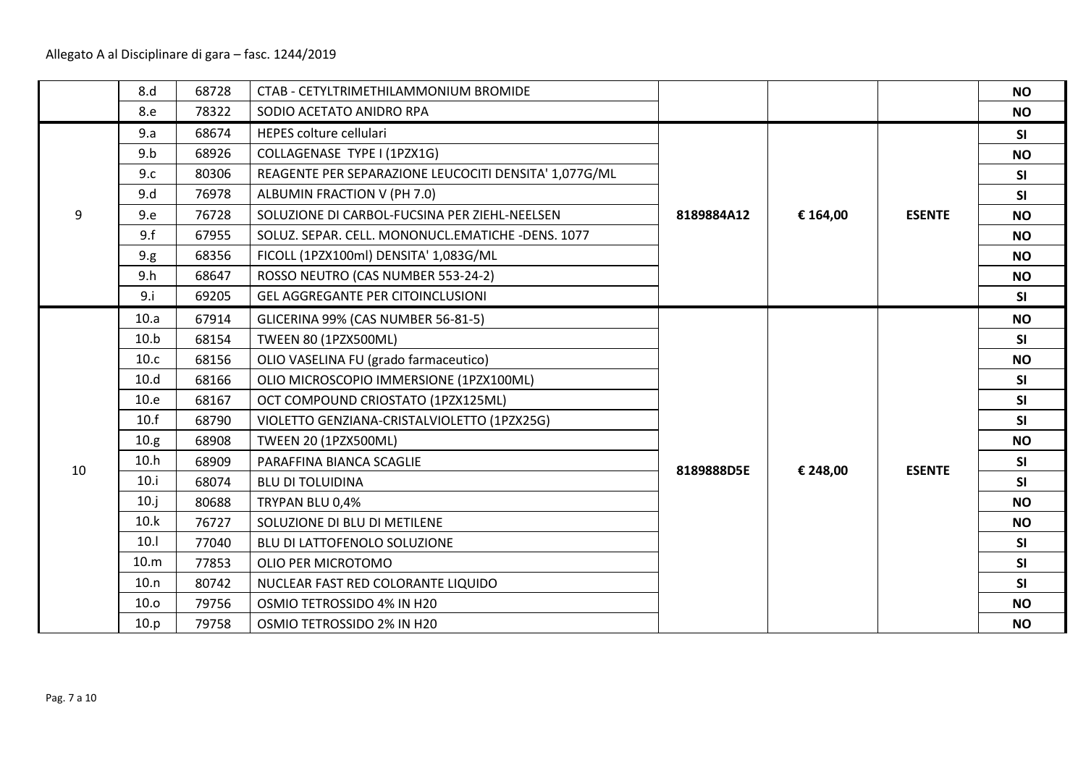|    | 8.d            | 68728 | CTAB - CETYLTRIMETHILAMMONIUM BROMIDE                 |            |          |               | <b>NO</b> |
|----|----------------|-------|-------------------------------------------------------|------------|----------|---------------|-----------|
|    | 8.e            | 78322 | SODIO ACETATO ANIDRO RPA                              |            |          |               | <b>NO</b> |
|    | 9.a            | 68674 | HEPES colture cellulari                               |            |          |               | SI        |
|    | 9.b            | 68926 | COLLAGENASE TYPE I (1PZX1G)                           |            |          |               | <b>NO</b> |
|    | 9.c            | 80306 | REAGENTE PER SEPARAZIONE LEUCOCITI DENSITA' 1,077G/ML |            |          |               | SI        |
|    | 9.d            | 76978 | ALBUMIN FRACTION V (PH 7.0)                           |            |          |               | SI        |
| 9  | 9.e            | 76728 | SOLUZIONE DI CARBOL-FUCSINA PER ZIEHL-NEELSEN         | 8189884A12 | € 164,00 | <b>ESENTE</b> | <b>NO</b> |
|    | 9.f            | 67955 | SOLUZ. SEPAR. CELL. MONONUCL.EMATICHE -DENS. 1077     |            |          |               | <b>NO</b> |
|    | 9.g.           | 68356 | FICOLL (1PZX100ml) DENSITA' 1,083G/ML                 |            |          |               | <b>NO</b> |
|    | 9.h            | 68647 | ROSSO NEUTRO (CAS NUMBER 553-24-2)                    |            |          |               | <b>NO</b> |
|    | 9 <sub>i</sub> | 69205 | <b>GEL AGGREGANTE PER CITOINCLUSIONI</b>              |            |          |               | SI        |
|    | 10.a           | 67914 | GLICERINA 99% (CAS NUMBER 56-81-5)                    |            |          |               | <b>NO</b> |
|    | 10.b           | 68154 | <b>TWEEN 80 (1PZX500ML)</b>                           |            |          |               | <b>SI</b> |
|    | 10.c           | 68156 | OLIO VASELINA FU (grado farmaceutico)                 |            |          |               | <b>NO</b> |
|    | 10.d           | 68166 | OLIO MICROSCOPIO IMMERSIONE (1PZX100ML)               |            |          |               | SI        |
|    | 10.e           | 68167 | OCT COMPOUND CRIOSTATO (1PZX125ML)                    |            |          |               | SI        |
|    | 10.f           | 68790 | VIOLETTO GENZIANA-CRISTALVIOLETTO (1PZX25G)           |            |          |               | SI        |
|    | 10.g           | 68908 | <b>TWEEN 20 (1PZX500ML)</b>                           |            |          |               | <b>NO</b> |
| 10 | 10.h           | 68909 | PARAFFINA BIANCA SCAGLIE                              | 8189888D5E | € 248,00 | <b>ESENTE</b> | SI        |
|    | 10.i           | 68074 | <b>BLU DI TOLUIDINA</b>                               |            |          |               | SI        |
|    | 10.j           | 80688 | TRYPAN BLU 0,4%                                       |            |          |               | <b>NO</b> |
|    | 10.k           | 76727 | SOLUZIONE DI BLU DI METILENE                          |            |          |               | <b>NO</b> |
|    | 10.1           | 77040 | BLU DI LATTOFENOLO SOLUZIONE                          |            |          |               | SI        |
|    | 10.m           | 77853 | OLIO PER MICROTOMO                                    |            |          |               | SI        |
|    | 10.n           | 80742 | NUCLEAR FAST RED COLORANTE LIQUIDO                    |            |          |               | SI        |
|    | 10.0           | 79756 | OSMIO TETROSSIDO 4% IN H20                            |            |          |               | <b>NO</b> |
|    | 10.p           | 79758 | OSMIO TETROSSIDO 2% IN H20                            |            |          |               | <b>NO</b> |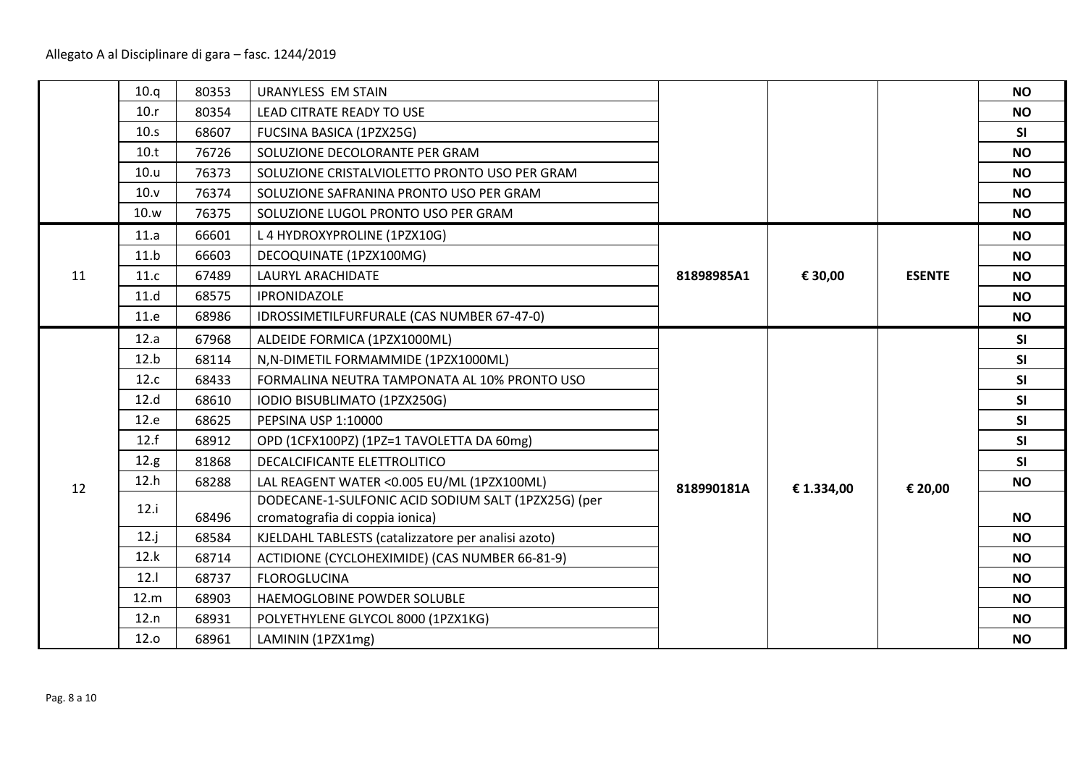|    | 10.q | 80353 | <b>URANYLESS EM STAIN</b>                           |            |            |               | <b>NO</b> |
|----|------|-------|-----------------------------------------------------|------------|------------|---------------|-----------|
|    | 10.r | 80354 | <b>LEAD CITRATE READY TO USE</b>                    |            |            |               | <b>NO</b> |
|    | 10.5 | 68607 | FUCSINA BASICA (1PZX25G)                            |            |            |               | <b>SI</b> |
|    | 10.t | 76726 | SOLUZIONE DECOLORANTE PER GRAM                      |            |            |               | <b>NO</b> |
|    | 10.u | 76373 | SOLUZIONE CRISTALVIOLETTO PRONTO USO PER GRAM       |            |            |               | <b>NO</b> |
|    | 10.v | 76374 | SOLUZIONE SAFRANINA PRONTO USO PER GRAM             |            |            |               | <b>NO</b> |
|    | 10.w | 76375 | SOLUZIONE LUGOL PRONTO USO PER GRAM                 |            |            |               | <b>NO</b> |
|    | 11.a | 66601 | L 4 HYDROXYPROLINE (1PZX10G)                        |            |            |               | <b>NO</b> |
|    | 11.b | 66603 | DECOQUINATE (1PZX100MG)                             |            |            |               | <b>NO</b> |
| 11 | 11.c | 67489 | <b>LAURYL ARACHIDATE</b>                            | 81898985A1 | € 30,00    | <b>ESENTE</b> | <b>NO</b> |
|    | 11.d | 68575 | <b>IPRONIDAZOLE</b>                                 |            |            |               | <b>NO</b> |
|    | 11.e | 68986 | IDROSSIMETILFURFURALE (CAS NUMBER 67-47-0)          |            |            |               | <b>NO</b> |
|    | 12.a | 67968 | ALDEIDE FORMICA (1PZX1000ML)                        |            |            |               | <b>SI</b> |
|    | 12.b | 68114 | N, N-DIMETIL FORMAMMIDE (1PZX1000ML)                |            |            |               | SI        |
|    | 12.c | 68433 | FORMALINA NEUTRA TAMPONATA AL 10% PRONTO USO        |            |            |               | SI        |
|    | 12.d | 68610 | IODIO BISUBLIMATO (1PZX250G)                        |            |            |               | <b>SI</b> |
|    | 12.e | 68625 | PEPSINA USP 1:10000                                 |            |            |               | SI        |
|    | 12.f | 68912 | OPD (1CFX100PZ) (1PZ=1 TAVOLETTA DA 60mg)           |            |            |               | SI        |
|    | 12.g | 81868 | DECALCIFICANTE ELETTROLITICO                        |            |            |               | <b>SI</b> |
| 12 | 12.h | 68288 | LAL REAGENT WATER < 0.005 EU/ML (1PZX100ML)         | 818990181A | € 1.334,00 | € 20,00       | <b>NO</b> |
|    | 12.i |       | DODECANE-1-SULFONIC ACID SODIUM SALT (1PZX25G) (per |            |            |               |           |
|    |      | 68496 | cromatografia di coppia ionica)                     |            |            |               | <b>NO</b> |
|    | 12.j | 68584 | KJELDAHL TABLESTS (catalizzatore per analisi azoto) |            |            |               | <b>NO</b> |
|    | 12.k | 68714 | ACTIDIONE (CYCLOHEXIMIDE) (CAS NUMBER 66-81-9)      |            |            |               | <b>NO</b> |
|    | 12.1 | 68737 | <b>FLOROGLUCINA</b>                                 |            |            |               | <b>NO</b> |
|    | 12.m | 68903 | HAEMOGLOBINE POWDER SOLUBLE                         |            |            |               | <b>NO</b> |
|    | 12.n | 68931 | POLYETHYLENE GLYCOL 8000 (1PZX1KG)                  |            |            |               | <b>NO</b> |
|    | 12.0 | 68961 | LAMININ (1PZX1mg)                                   |            |            |               | <b>NO</b> |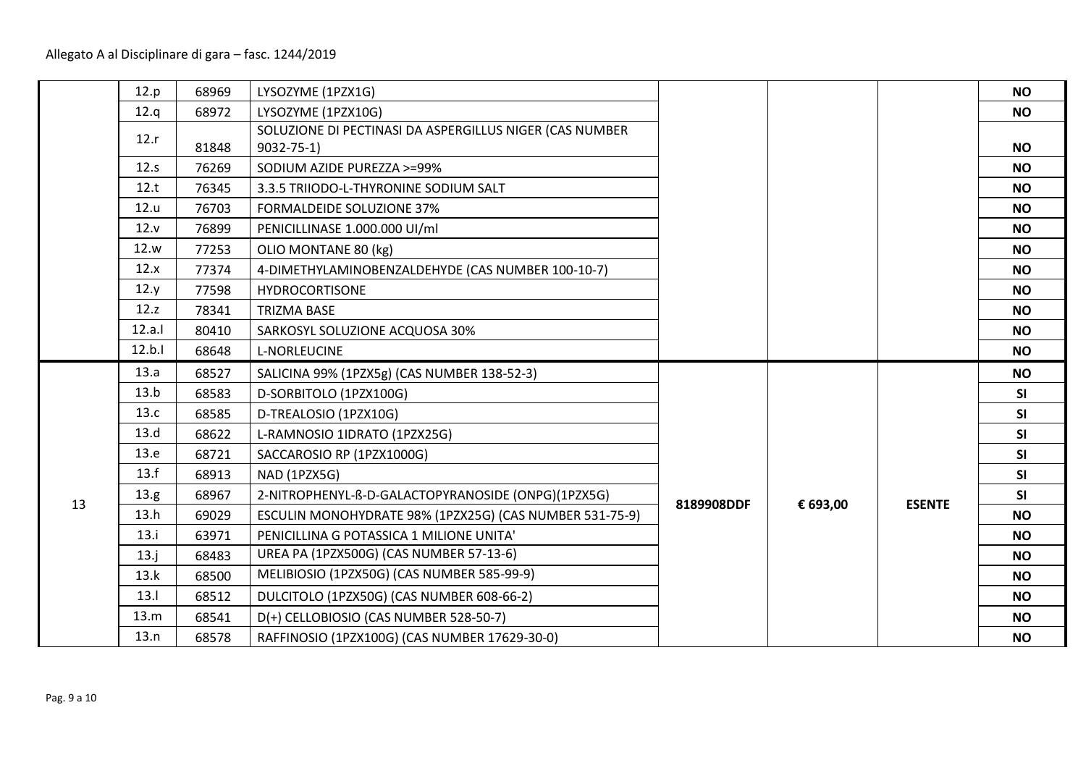|    | 12.p   | 68969 | LYSOZYME (1PZX1G)                                       |            |          |               | <b>NO</b> |
|----|--------|-------|---------------------------------------------------------|------------|----------|---------------|-----------|
|    | 12.q   | 68972 | LYSOZYME (1PZX10G)                                      |            |          |               | <b>NO</b> |
|    | 12.r   |       | SOLUZIONE DI PECTINASI DA ASPERGILLUS NIGER (CAS NUMBER |            |          |               |           |
|    |        | 81848 | $9032 - 75 - 1$                                         |            |          |               | <b>NO</b> |
|    | 12.s   | 76269 | SODIUM AZIDE PUREZZA >=99%                              |            |          |               | <b>NO</b> |
|    | 12.t   | 76345 | 3.3.5 TRIIODO-L-THYRONINE SODIUM SALT                   |            |          |               | <b>NO</b> |
|    | 12.u   | 76703 | <b>FORMALDEIDE SOLUZIONE 37%</b>                        |            |          |               | <b>NO</b> |
|    | 12.v   | 76899 | PENICILLINASE 1.000.000 UI/ml                           |            |          |               | <b>NO</b> |
|    | 12.w   | 77253 | OLIO MONTANE 80 (kg)                                    |            |          |               | <b>NO</b> |
|    | 12.x   | 77374 | 4-DIMETHYLAMINOBENZALDEHYDE (CAS NUMBER 100-10-7)       |            |          |               | <b>NO</b> |
|    | 12.y   | 77598 | <b>HYDROCORTISONE</b>                                   |            |          |               | <b>NO</b> |
|    | 12.z   | 78341 | <b>TRIZMA BASE</b>                                      |            |          |               | <b>NO</b> |
|    | 12.a.1 | 80410 | SARKOSYL SOLUZIONE ACQUOSA 30%                          |            |          |               | <b>NO</b> |
|    | 12.b.1 | 68648 | <b>L-NORLEUCINE</b>                                     |            |          |               | <b>NO</b> |
|    | 13.a   | 68527 | SALICINA 99% (1PZX5g) (CAS NUMBER 138-52-3)             |            |          |               | <b>NO</b> |
|    | 13.b   | 68583 | D-SORBITOLO (1PZX100G)                                  |            |          |               | SI        |
|    | 13.c   | 68585 | D-TREALOSIO (1PZX10G)                                   |            |          |               | <b>SI</b> |
|    | 13.d   | 68622 | L-RAMNOSIO 1IDRATO (1PZX25G)                            |            |          |               | SI        |
|    | 13.e   | 68721 | SACCAROSIO RP (1PZX1000G)                               |            |          |               | SI        |
|    | 13.f   | 68913 | NAD (1PZX5G)                                            |            |          |               | SI        |
| 13 | 13.g   | 68967 | 2-NITROPHENYL-ß-D-GALACTOPYRANOSIDE (ONPG)(1PZX5G)      | 8189908DDF | € 693,00 | <b>ESENTE</b> | SI        |
|    | 13.h   | 69029 | ESCULIN MONOHYDRATE 98% (1PZX25G) (CAS NUMBER 531-75-9) |            |          |               | <b>NO</b> |
|    | 13.i   | 63971 | PENICILLINA G POTASSICA 1 MILIONE UNITA'                |            |          |               | <b>NO</b> |
|    | 13.j   | 68483 | UREA PA (1PZX500G) (CAS NUMBER 57-13-6)                 |            |          |               | <b>NO</b> |
|    | 13.k   | 68500 | MELIBIOSIO (1PZX50G) (CAS NUMBER 585-99-9)              |            |          |               | <b>NO</b> |
|    | 13.1   | 68512 | DULCITOLO (1PZX50G) (CAS NUMBER 608-66-2)               |            |          |               | <b>NO</b> |
|    | 13.m   | 68541 | D(+) CELLOBIOSIO (CAS NUMBER 528-50-7)                  |            |          |               | <b>NO</b> |
|    | 13.n   | 68578 | RAFFINOSIO (1PZX100G) (CAS NUMBER 17629-30-0)           |            |          |               | <b>NO</b> |